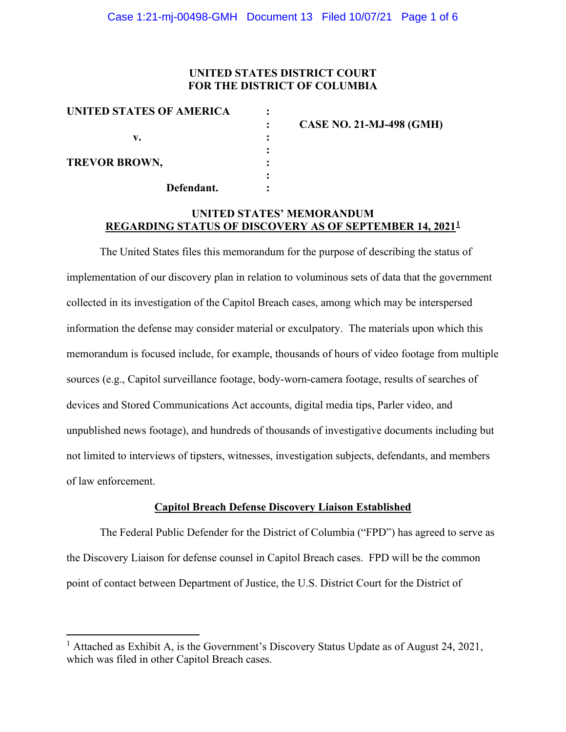# **UNITED STATES DISTRICT COURT FOR THE DISTRICT OF COLUMBIA**

| UNITED STATES OF AMERICA | <b>CASE NO. 21-MJ-498 (GMH)</b> |
|--------------------------|---------------------------------|
| v.                       |                                 |
| <b>TREVOR BROWN,</b>     |                                 |
| Defendant.               |                                 |

# **UNITED STATES' MEMORANDUM REGARDING STATUS OF DISCOVERY AS OF SEPTEMBER 14, 20211**

The United States files this memorandum for the purpose of describing the status of implementation of our discovery plan in relation to voluminous sets of data that the government collected in its investigation of the Capitol Breach cases, among which may be interspersed information the defense may consider material or exculpatory. The materials upon which this memorandum is focused include, for example, thousands of hours of video footage from multiple sources (e.g., Capitol surveillance footage, body-worn-camera footage, results of searches of devices and Stored Communications Act accounts, digital media tips, Parler video, and unpublished news footage), and hundreds of thousands of investigative documents including but not limited to interviews of tipsters, witnesses, investigation subjects, defendants, and members of law enforcement.

### **Capitol Breach Defense Discovery Liaison Established**

The Federal Public Defender for the District of Columbia ("FPD") has agreed to serve as the Discovery Liaison for defense counsel in Capitol Breach cases. FPD will be the common point of contact between Department of Justice, the U.S. District Court for the District of

<sup>&</sup>lt;sup>1</sup> Attached as Exhibit A, is the Government's Discovery Status Update as of August 24, 2021, which was filed in other Capitol Breach cases.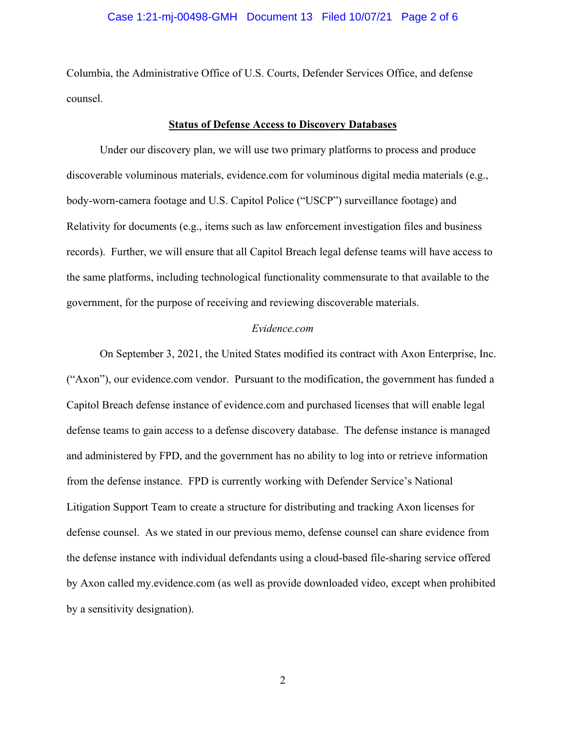### Case 1:21-mj-00498-GMH Document 13 Filed 10/07/21 Page 2 of 6

Columbia, the Administrative Office of U.S. Courts, Defender Services Office, and defense counsel.

#### **Status of Defense Access to Discovery Databases**

Under our discovery plan, we will use two primary platforms to process and produce discoverable voluminous materials, evidence.com for voluminous digital media materials (e.g., body-worn-camera footage and U.S. Capitol Police ("USCP") surveillance footage) and Relativity for documents (e.g., items such as law enforcement investigation files and business records). Further, we will ensure that all Capitol Breach legal defense teams will have access to the same platforms, including technological functionality commensurate to that available to the government, for the purpose of receiving and reviewing discoverable materials.

### *Evidence.com*

On September 3, 2021, the United States modified its contract with Axon Enterprise, Inc. ("Axon"), our evidence.com vendor. Pursuant to the modification, the government has funded a Capitol Breach defense instance of evidence.com and purchased licenses that will enable legal defense teams to gain access to a defense discovery database. The defense instance is managed and administered by FPD, and the government has no ability to log into or retrieve information from the defense instance. FPD is currently working with Defender Service's National Litigation Support Team to create a structure for distributing and tracking Axon licenses for defense counsel. As we stated in our previous memo, defense counsel can share evidence from the defense instance with individual defendants using a cloud-based file-sharing service offered by Axon called my.evidence.com (as well as provide downloaded video, except when prohibited by a sensitivity designation).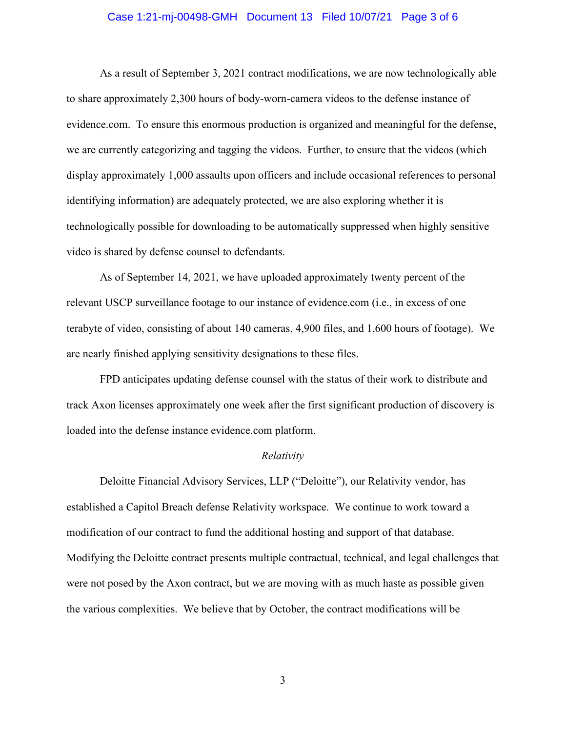### Case 1:21-mj-00498-GMH Document 13 Filed 10/07/21 Page 3 of 6

As a result of September 3, 2021 contract modifications, we are now technologically able to share approximately 2,300 hours of body-worn-camera videos to the defense instance of evidence.com. To ensure this enormous production is organized and meaningful for the defense, we are currently categorizing and tagging the videos. Further, to ensure that the videos (which display approximately 1,000 assaults upon officers and include occasional references to personal identifying information) are adequately protected, we are also exploring whether it is technologically possible for downloading to be automatically suppressed when highly sensitive video is shared by defense counsel to defendants.

As of September 14, 2021, we have uploaded approximately twenty percent of the relevant USCP surveillance footage to our instance of evidence.com (i.e., in excess of one terabyte of video, consisting of about 140 cameras, 4,900 files, and 1,600 hours of footage). We are nearly finished applying sensitivity designations to these files.

FPD anticipates updating defense counsel with the status of their work to distribute and track Axon licenses approximately one week after the first significant production of discovery is loaded into the defense instance evidence.com platform.

#### *Relativity*

Deloitte Financial Advisory Services, LLP ("Deloitte"), our Relativity vendor, has established a Capitol Breach defense Relativity workspace. We continue to work toward a modification of our contract to fund the additional hosting and support of that database. Modifying the Deloitte contract presents multiple contractual, technical, and legal challenges that were not posed by the Axon contract, but we are moving with as much haste as possible given the various complexities. We believe that by October, the contract modifications will be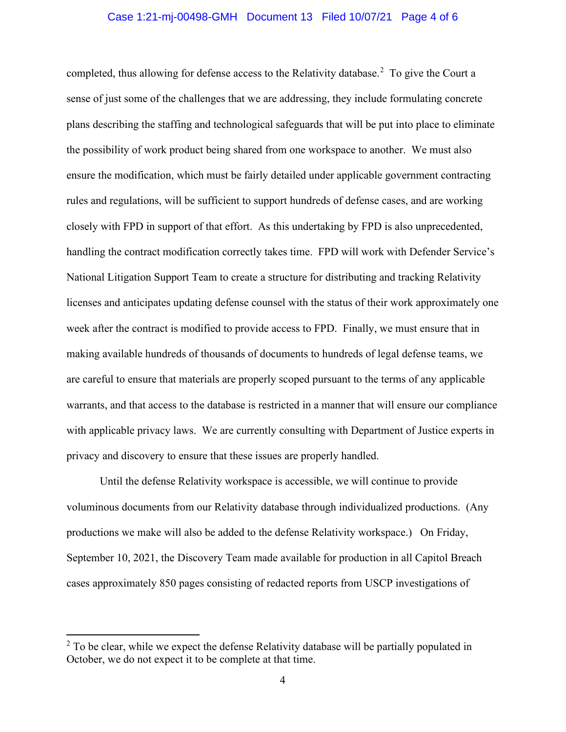### Case 1:21-mj-00498-GMH Document 13 Filed 10/07/21 Page 4 of 6

completed, thus allowing for defense access to the Relativity database.<sup>2</sup> To give the Court a sense of just some of the challenges that we are addressing, they include formulating concrete plans describing the staffing and technological safeguards that will be put into place to eliminate the possibility of work product being shared from one workspace to another. We must also ensure the modification, which must be fairly detailed under applicable government contracting rules and regulations, will be sufficient to support hundreds of defense cases, and are working closely with FPD in support of that effort. As this undertaking by FPD is also unprecedented, handling the contract modification correctly takes time. FPD will work with Defender Service's National Litigation Support Team to create a structure for distributing and tracking Relativity licenses and anticipates updating defense counsel with the status of their work approximately one week after the contract is modified to provide access to FPD. Finally, we must ensure that in making available hundreds of thousands of documents to hundreds of legal defense teams, we are careful to ensure that materials are properly scoped pursuant to the terms of any applicable warrants, and that access to the database is restricted in a manner that will ensure our compliance with applicable privacy laws. We are currently consulting with Department of Justice experts in privacy and discovery to ensure that these issues are properly handled.

Until the defense Relativity workspace is accessible, we will continue to provide voluminous documents from our Relativity database through individualized productions. (Any productions we make will also be added to the defense Relativity workspace.) On Friday, September 10, 2021, the Discovery Team made available for production in all Capitol Breach cases approximately 850 pages consisting of redacted reports from USCP investigations of

 $2$  To be clear, while we expect the defense Relativity database will be partially populated in October, we do not expect it to be complete at that time.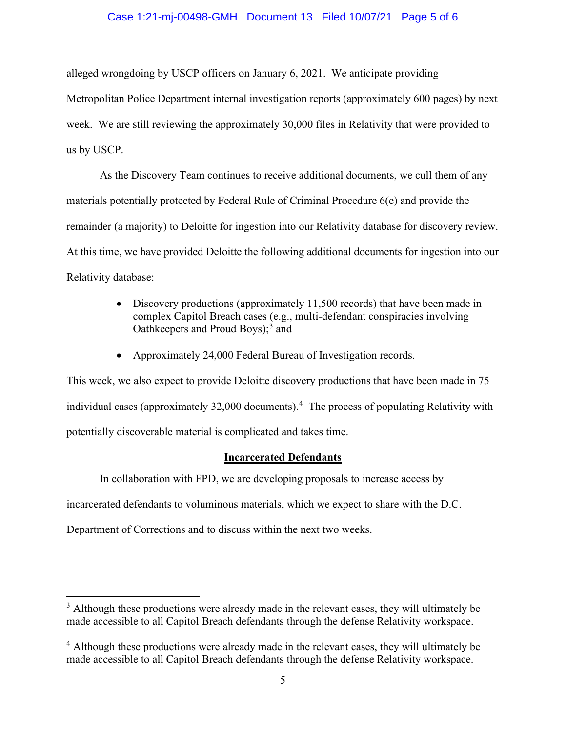### Case 1:21-mj-00498-GMH Document 13 Filed 10/07/21 Page 5 of 6

alleged wrongdoing by USCP officers on January 6, 2021. We anticipate providing Metropolitan Police Department internal investigation reports (approximately 600 pages) by next week. We are still reviewing the approximately 30,000 files in Relativity that were provided to us by USCP.

As the Discovery Team continues to receive additional documents, we cull them of any materials potentially protected by Federal Rule of Criminal Procedure 6(e) and provide the remainder (a majority) to Deloitte for ingestion into our Relativity database for discovery review. At this time, we have provided Deloitte the following additional documents for ingestion into our Relativity database:

- Discovery productions (approximately 11,500 records) that have been made in complex Capitol Breach cases (e.g., multi-defendant conspiracies involving Oathkeepers and Proud Boys); <sup>3</sup> and
- Approximately 24,000 Federal Bureau of Investigation records.

This week, we also expect to provide Deloitte discovery productions that have been made in 75 individual cases (approximately 32,000 documents). 4 The process of populating Relativity with potentially discoverable material is complicated and takes time.

### **Incarcerated Defendants**

In collaboration with FPD, we are developing proposals to increase access by

incarcerated defendants to voluminous materials, which we expect to share with the D.C.

Department of Corrections and to discuss within the next two weeks.

 $3$  Although these productions were already made in the relevant cases, they will ultimately be made accessible to all Capitol Breach defendants through the defense Relativity workspace.

<sup>&</sup>lt;sup>4</sup> Although these productions were already made in the relevant cases, they will ultimately be made accessible to all Capitol Breach defendants through the defense Relativity workspace.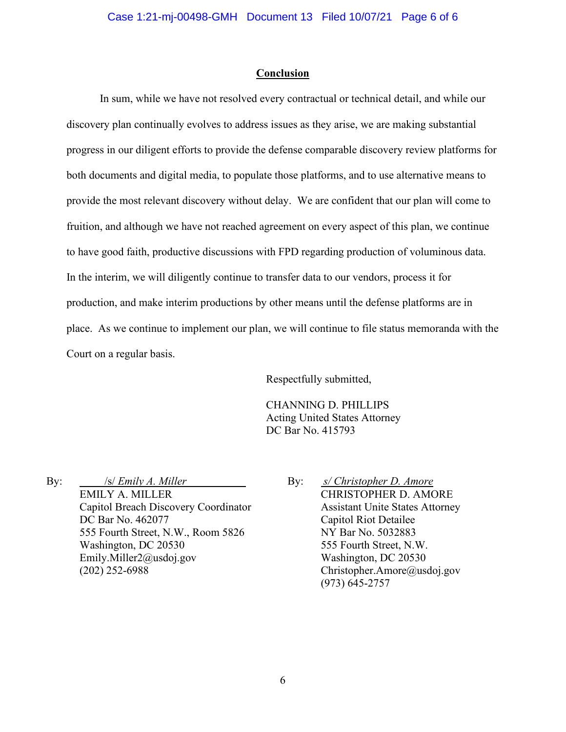### **Conclusion**

In sum, while we have not resolved every contractual or technical detail, and while our discovery plan continually evolves to address issues as they arise, we are making substantial progress in our diligent efforts to provide the defense comparable discovery review platforms for both documents and digital media, to populate those platforms, and to use alternative means to provide the most relevant discovery without delay. We are confident that our plan will come to fruition, and although we have not reached agreement on every aspect of this plan, we continue to have good faith, productive discussions with FPD regarding production of voluminous data. In the interim, we will diligently continue to transfer data to our vendors, process it for production, and make interim productions by other means until the defense platforms are in place. As we continue to implement our plan, we will continue to file status memoranda with the Court on a regular basis.

Respectfully submitted,

CHANNING D. PHILLIPS Acting United States Attorney DC Bar No. 415793

By: /s/ *Emily A. Miller* EMILY A. MILLER Capitol Breach Discovery Coordinator DC Bar No. 462077 555 Fourth Street, N.W., Room 5826 Washington, DC 20530 Emily.Miller2@usdoj.gov (202) 252-6988

By: *s/ Christopher D. Amore* CHRISTOPHER D. AMORE Assistant Unite States Attorney Capitol Riot Detailee NY Bar No. 5032883 555 Fourth Street, N.W. Washington, DC 20530 Christopher.Amore@usdoj.gov (973) 645-2757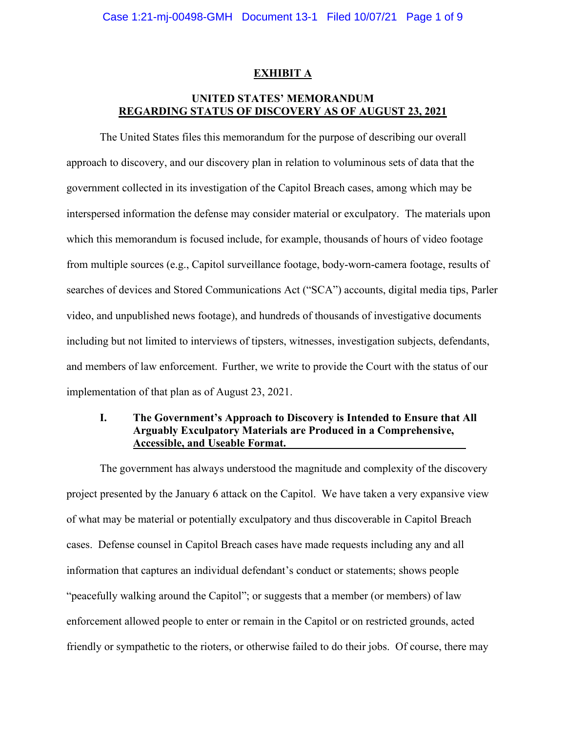### **EXHIBIT A**

# **UNITED STATES' MEMORANDUM REGARDING STATUS OF DISCOVERY AS OF AUGUST 23, 2021**

The United States files this memorandum for the purpose of describing our overall approach to discovery, and our discovery plan in relation to voluminous sets of data that the government collected in its investigation of the Capitol Breach cases, among which may be interspersed information the defense may consider material or exculpatory. The materials upon which this memorandum is focused include, for example, thousands of hours of video footage from multiple sources (e.g., Capitol surveillance footage, body-worn-camera footage, results of searches of devices and Stored Communications Act ("SCA") accounts, digital media tips, Parler video, and unpublished news footage), and hundreds of thousands of investigative documents including but not limited to interviews of tipsters, witnesses, investigation subjects, defendants, and members of law enforcement. Further, we write to provide the Court with the status of our implementation of that plan as of August 23, 2021.

# **I. The Government's Approach to Discovery is Intended to Ensure that All Arguably Exculpatory Materials are Produced in a Comprehensive, Accessible, and Useable Format.**

The government has always understood the magnitude and complexity of the discovery project presented by the January 6 attack on the Capitol. We have taken a very expansive view of what may be material or potentially exculpatory and thus discoverable in Capitol Breach cases. Defense counsel in Capitol Breach cases have made requests including any and all information that captures an individual defendant's conduct or statements; shows people "peacefully walking around the Capitol"; or suggests that a member (or members) of law enforcement allowed people to enter or remain in the Capitol or on restricted grounds, acted friendly or sympathetic to the rioters, or otherwise failed to do their jobs. Of course, there may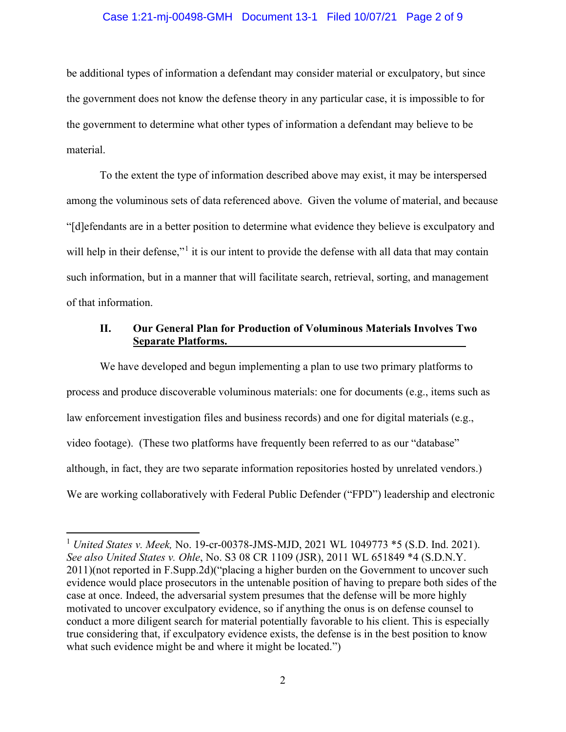### Case 1:21-mj-00498-GMH Document 13-1 Filed 10/07/21 Page 2 of 9

be additional types of information a defendant may consider material or exculpatory, but since the government does not know the defense theory in any particular case, it is impossible to for the government to determine what other types of information a defendant may believe to be material.

To the extent the type of information described above may exist, it may be interspersed among the voluminous sets of data referenced above. Given the volume of material, and because "[d]efendants are in a better position to determine what evidence they believe is exculpatory and will help in their defense,"<sup>1</sup> it is our intent to provide the defense with all data that may contain such information, but in a manner that will facilitate search, retrieval, sorting, and management of that information.

## **II. Our General Plan for Production of Voluminous Materials Involves Two Separate Platforms.**

We have developed and begun implementing a plan to use two primary platforms to process and produce discoverable voluminous materials: one for documents (e.g., items such as law enforcement investigation files and business records) and one for digital materials (e.g., video footage). (These two platforms have frequently been referred to as our "database" although, in fact, they are two separate information repositories hosted by unrelated vendors.) We are working collaboratively with Federal Public Defender ("FPD") leadership and electronic

<sup>1</sup> *United States v. Meek,* No. 19-cr-00378-JMS-MJD, 2021 WL 1049773 \*5 (S.D. Ind. 2021). *See also United States v. Ohle*, No. S3 08 CR 1109 (JSR), 2011 WL 651849 \*4 (S.D.N.Y. 2011)(not reported in F.Supp.2d)("placing a higher burden on the Government to uncover such evidence would place prosecutors in the untenable position of having to prepare both sides of the case at once. Indeed, the adversarial system presumes that the defense will be more highly motivated to uncover exculpatory evidence, so if anything the onus is on defense counsel to conduct a more diligent search for material potentially favorable to his client. This is especially true considering that, if exculpatory evidence exists, the defense is in the best position to know what such evidence might be and where it might be located.")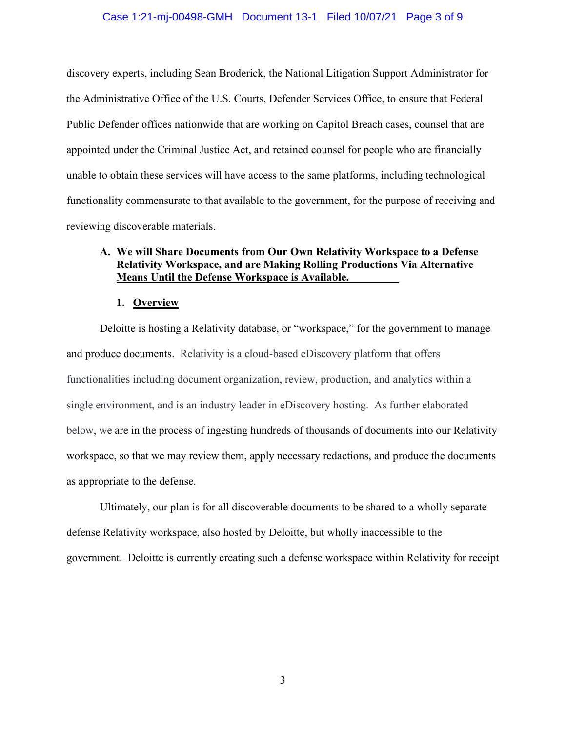### Case 1:21-mj-00498-GMH Document 13-1 Filed 10/07/21 Page 3 of 9

discovery experts, including Sean Broderick, the National Litigation Support Administrator for the Administrative Office of the U.S. Courts, Defender Services Office, to ensure that Federal Public Defender offices nationwide that are working on Capitol Breach cases, counsel that are appointed under the Criminal Justice Act, and retained counsel for people who are financially unable to obtain these services will have access to the same platforms, including technological functionality commensurate to that available to the government, for the purpose of receiving and reviewing discoverable materials.

# **A. We will Share Documents from Our Own Relativity Workspace to a Defense Relativity Workspace, and are Making Rolling Productions Via Alternative Means Until the Defense Workspace is Available.**

#### **1. Overview**

Deloitte is hosting a Relativity database, or "workspace," for the government to manage and produce documents. Relativity is a cloud-based eDiscovery platform that offers functionalities including document organization, review, production, and analytics within a single environment, and is an industry leader in eDiscovery hosting. As further elaborated below, we are in the process of ingesting hundreds of thousands of documents into our Relativity workspace, so that we may review them, apply necessary redactions, and produce the documents as appropriate to the defense.

Ultimately, our plan is for all discoverable documents to be shared to a wholly separate defense Relativity workspace, also hosted by Deloitte, but wholly inaccessible to the government. Deloitte is currently creating such a defense workspace within Relativity for receipt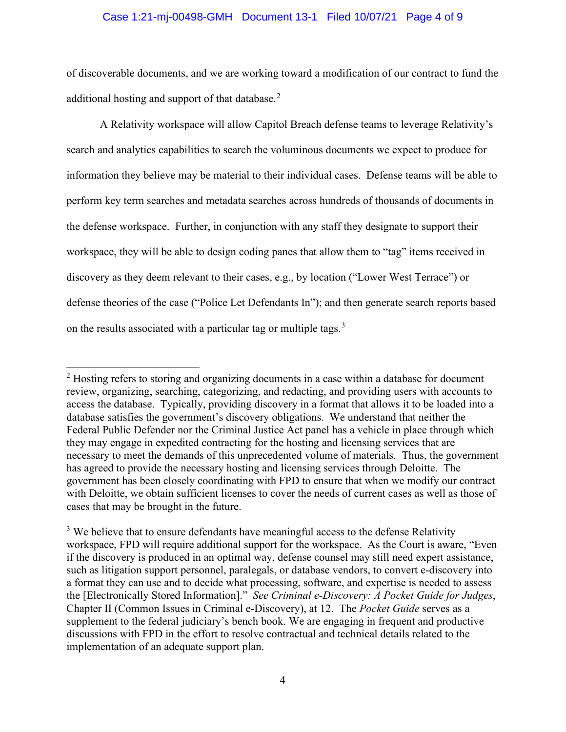### Case 1:21-mj-00498-GMH Document 13-1 Filed 10/07/21 Page 4 of 9

of discoverable documents, and we are working toward a modification of our contract to fund the additional hosting and support of that database.<sup>2</sup>

A Relativity workspace will allow Capitol Breach defense teams to leverage Relativity's search and analytics capabilities to search the voluminous documents we expect to produce for information they believe may be material to their individual cases. Defense teams will be able to perform key term searches and metadata searches across hundreds of thousands of documents in the defense workspace. Further, in conjunction with any staff they designate to support their workspace, they will be able to design coding panes that allow them to "tag" items received in discovery as they deem relevant to their cases, e.g., by location ("Lower West Terrace") or defense theories of the case ("Police Let Defendants In"); and then generate search reports based on the results associated with a particular tag or multiple tags.<sup>3</sup>

 $2$  Hosting refers to storing and organizing documents in a case within a database for document review, organizing, searching, categorizing, and redacting, and providing users with accounts to access the database. Typically, providing discovery in a format that allows it to be loaded into a database satisfies the government's discovery obligations. We understand that neither the Federal Public Defender nor the Criminal Justice Act panel has a vehicle in place through which they may engage in expedited contracting for the hosting and licensing services that are necessary to meet the demands of this unprecedented volume of materials. Thus, the government has agreed to provide the necessary hosting and licensing services through Deloitte. The government has been closely coordinating with FPD to ensure that when we modify our contract with Deloitte, we obtain sufficient licenses to cover the needs of current cases as well as those of cases that may be brought in the future.

 $3$  We believe that to ensure defendants have meaningful access to the defense Relativity workspace, FPD will require additional support for the workspace. As the Court is aware, "Even if the discovery is produced in an optimal way, defense counsel may still need expert assistance, such as litigation support personnel, paralegals, or database vendors, to convert e-discovery into a format they can use and to decide what processing, software, and expertise is needed to assess the [Electronically Stored Information]." *See Criminal e-Discovery: A Pocket Guide for Judges*, Chapter II (Common Issues in Criminal e-Discovery), at 12.The *Pocket Guide* serves as a supplement to the federal judiciary's bench book. We are engaging in frequent and productive discussions with FPD in the effort to resolve contractual and technical details related to the implementation of an adequate support plan.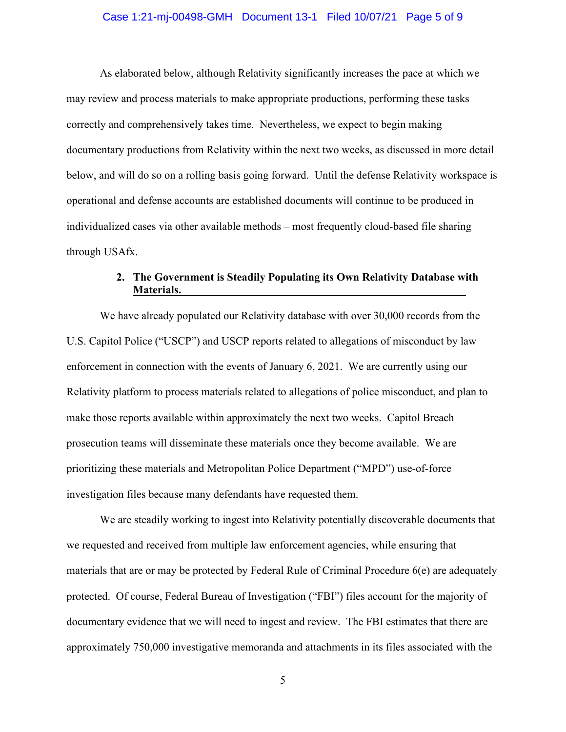### Case 1:21-mj-00498-GMH Document 13-1 Filed 10/07/21 Page 5 of 9

As elaborated below, although Relativity significantly increases the pace at which we may review and process materials to make appropriate productions, performing these tasks correctly and comprehensively takes time. Nevertheless, we expect to begin making documentary productions from Relativity within the next two weeks, as discussed in more detail below, and will do so on a rolling basis going forward. Until the defense Relativity workspace is operational and defense accounts are established documents will continue to be produced in individualized cases via other available methods – most frequently cloud-based file sharing through USAfx.

# **2. The Government is Steadily Populating its Own Relativity Database with Materials.**

We have already populated our Relativity database with over 30,000 records from the U.S. Capitol Police ("USCP") and USCP reports related to allegations of misconduct by law enforcement in connection with the events of January 6, 2021. We are currently using our Relativity platform to process materials related to allegations of police misconduct, and plan to make those reports available within approximately the next two weeks. Capitol Breach prosecution teams will disseminate these materials once they become available. We are prioritizing these materials and Metropolitan Police Department ("MPD") use-of-force investigation files because many defendants have requested them.

We are steadily working to ingest into Relativity potentially discoverable documents that we requested and received from multiple law enforcement agencies, while ensuring that materials that are or may be protected by Federal Rule of Criminal Procedure 6(e) are adequately protected. Of course, Federal Bureau of Investigation ("FBI") files account for the majority of documentary evidence that we will need to ingest and review. The FBI estimates that there are approximately 750,000 investigative memoranda and attachments in its files associated with the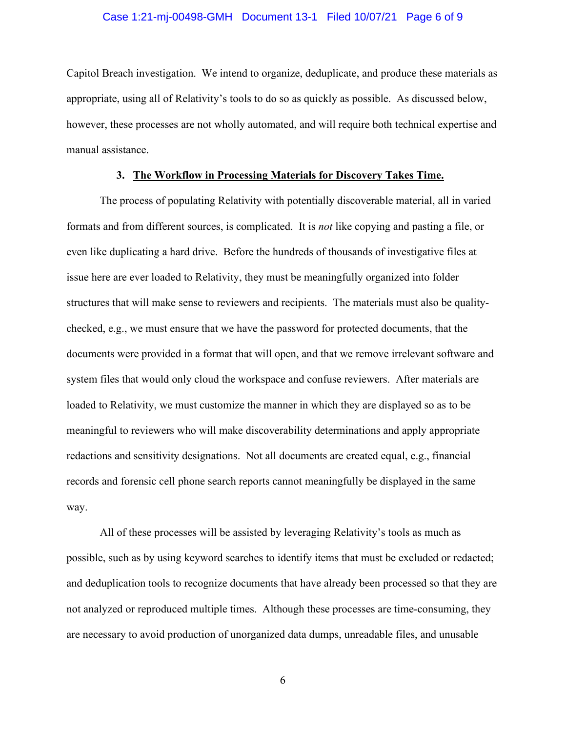### Case 1:21-mj-00498-GMH Document 13-1 Filed 10/07/21 Page 6 of 9

Capitol Breach investigation. We intend to organize, deduplicate, and produce these materials as appropriate, using all of Relativity's tools to do so as quickly as possible. As discussed below, however, these processes are not wholly automated, and will require both technical expertise and manual assistance.

### **3. The Workflow in Processing Materials for Discovery Takes Time.**

The process of populating Relativity with potentially discoverable material, all in varied formats and from different sources, is complicated. It is *not* like copying and pasting a file, or even like duplicating a hard drive. Before the hundreds of thousands of investigative files at issue here are ever loaded to Relativity, they must be meaningfully organized into folder structures that will make sense to reviewers and recipients. The materials must also be qualitychecked, e.g., we must ensure that we have the password for protected documents, that the documents were provided in a format that will open, and that we remove irrelevant software and system files that would only cloud the workspace and confuse reviewers. After materials are loaded to Relativity, we must customize the manner in which they are displayed so as to be meaningful to reviewers who will make discoverability determinations and apply appropriate redactions and sensitivity designations. Not all documents are created equal, e.g., financial records and forensic cell phone search reports cannot meaningfully be displayed in the same way.

All of these processes will be assisted by leveraging Relativity's tools as much as possible, such as by using keyword searches to identify items that must be excluded or redacted; and deduplication tools to recognize documents that have already been processed so that they are not analyzed or reproduced multiple times. Although these processes are time-consuming, they are necessary to avoid production of unorganized data dumps, unreadable files, and unusable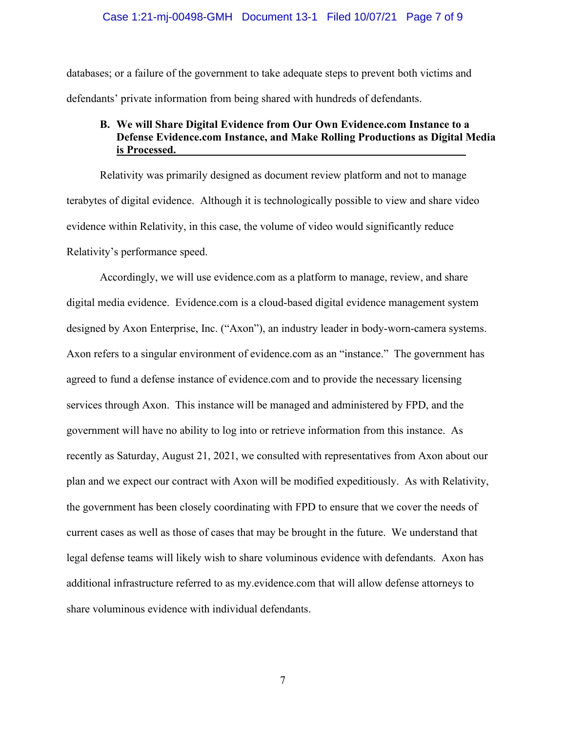### Case 1:21-mj-00498-GMH Document 13-1 Filed 10/07/21 Page 7 of 9

databases; or a failure of the government to take adequate steps to prevent both victims and defendants' private information from being shared with hundreds of defendants.

# **B. We will Share Digital Evidence from Our Own Evidence.com Instance to a Defense Evidence.com Instance, and Make Rolling Productions as Digital Media is Processed.**

Relativity was primarily designed as document review platform and not to manage terabytes of digital evidence. Although it is technologically possible to view and share video evidence within Relativity, in this case, the volume of video would significantly reduce Relativity's performance speed.

Accordingly, we will use evidence.com as a platform to manage, review, and share digital media evidence. Evidence.com is a cloud-based digital evidence management system designed by Axon Enterprise, Inc. ("Axon"), an industry leader in body-worn-camera systems. Axon refers to a singular environment of evidence.com as an "instance." The government has agreed to fund a defense instance of evidence.com and to provide the necessary licensing services through Axon. This instance will be managed and administered by FPD, and the government will have no ability to log into or retrieve information from this instance. As recently as Saturday, August 21, 2021, we consulted with representatives from Axon about our plan and we expect our contract with Axon will be modified expeditiously. As with Relativity, the government has been closely coordinating with FPD to ensure that we cover the needs of current cases as well as those of cases that may be brought in the future. We understand that legal defense teams will likely wish to share voluminous evidence with defendants. Axon has additional infrastructure referred to as my.evidence.com that will allow defense attorneys to share voluminous evidence with individual defendants.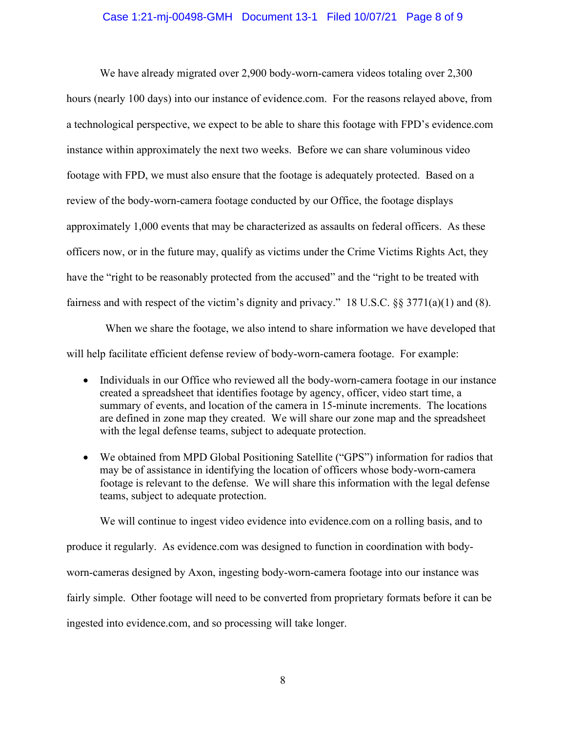### Case 1:21-mj-00498-GMH Document 13-1 Filed 10/07/21 Page 8 of 9

We have already migrated over 2,900 body-worn-camera videos totaling over 2,300 hours (nearly 100 days) into our instance of evidence.com. For the reasons relayed above, from a technological perspective, we expect to be able to share this footage with FPD's evidence.com instance within approximately the next two weeks. Before we can share voluminous video footage with FPD, we must also ensure that the footage is adequately protected. Based on a review of the body-worn-camera footage conducted by our Office, the footage displays approximately 1,000 events that may be characterized as assaults on federal officers. As these officers now, or in the future may, qualify as victims under the Crime Victims Rights Act, they have the "right to be reasonably protected from the accused" and the "right to be treated with fairness and with respect of the victim's dignity and privacy." 18 U.S.C. §§ 3771(a)(1) and (8).

 When we share the footage, we also intend to share information we have developed that will help facilitate efficient defense review of body-worn-camera footage. For example:

- Individuals in our Office who reviewed all the body-worn-camera footage in our instance created a spreadsheet that identifies footage by agency, officer, video start time, a summary of events, and location of the camera in 15-minute increments. The locations are defined in zone map they created. We will share our zone map and the spreadsheet with the legal defense teams, subject to adequate protection.
- We obtained from MPD Global Positioning Satellite ("GPS") information for radios that may be of assistance in identifying the location of officers whose body-worn-camera footage is relevant to the defense. We will share this information with the legal defense teams, subject to adequate protection.

We will continue to ingest video evidence into evidence.com on a rolling basis, and to

produce it regularly. As evidence.com was designed to function in coordination with bodyworn-cameras designed by Axon, ingesting body-worn-camera footage into our instance was fairly simple. Other footage will need to be converted from proprietary formats before it can be ingested into evidence.com, and so processing will take longer.